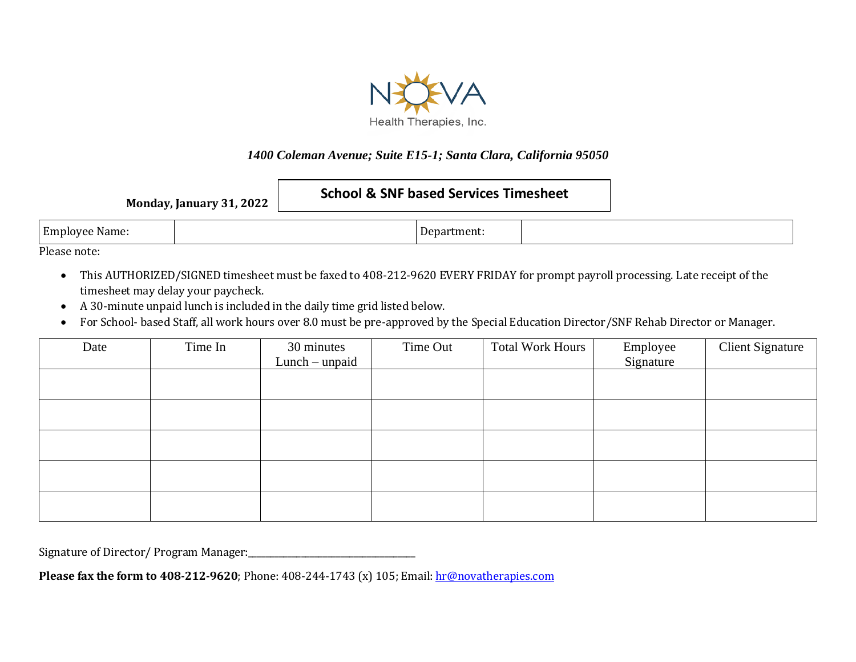

## *1400 Coleman Avenue; Suite E15-1; Santa Clara, California 95050*

| <b>Monday, January 31, 2022</b> |  | <b>School &amp; SNF based Services Timesheet</b> |  |
|---------------------------------|--|--------------------------------------------------|--|
| Employee Name:                  |  | Department:                                      |  |

Please note:

- This AUTHORIZED/SIGNED timesheet must be faxed to 408-212-9620 EVERY FRIDAY for prompt payroll processing. Late receipt of the timesheet may delay your paycheck.
- A 30-minute unpaid lunch is included in the daily time grid listed below.
- For School- based Staff, all work hours over 8.0 must be pre-approved by the Special Education Director/SNF Rehab Director or Manager.

| Date | Time In | 30 minutes       | Time Out | <b>Total Work Hours</b> | Employee  | <b>Client Signature</b> |
|------|---------|------------------|----------|-------------------------|-----------|-------------------------|
|      |         | $Lunch$ – unpaid |          |                         | Signature |                         |
|      |         |                  |          |                         |           |                         |
|      |         |                  |          |                         |           |                         |
|      |         |                  |          |                         |           |                         |
|      |         |                  |          |                         |           |                         |
|      |         |                  |          |                         |           |                         |
|      |         |                  |          |                         |           |                         |
|      |         |                  |          |                         |           |                         |
|      |         |                  |          |                         |           |                         |
|      |         |                  |          |                         |           |                         |
|      |         |                  |          |                         |           |                         |

Signature of Director/ Program Manager:\_\_\_\_\_\_\_\_\_\_\_\_\_\_\_\_\_\_\_\_\_\_\_\_\_\_\_\_\_\_\_\_\_\_\_\_\_\_

**Please fax the form to 408-212-9620**; Phone: 408-244-1743 (x) 105; Email: [hr@novatherapies.com](mailto:hr@novatherapies.com)